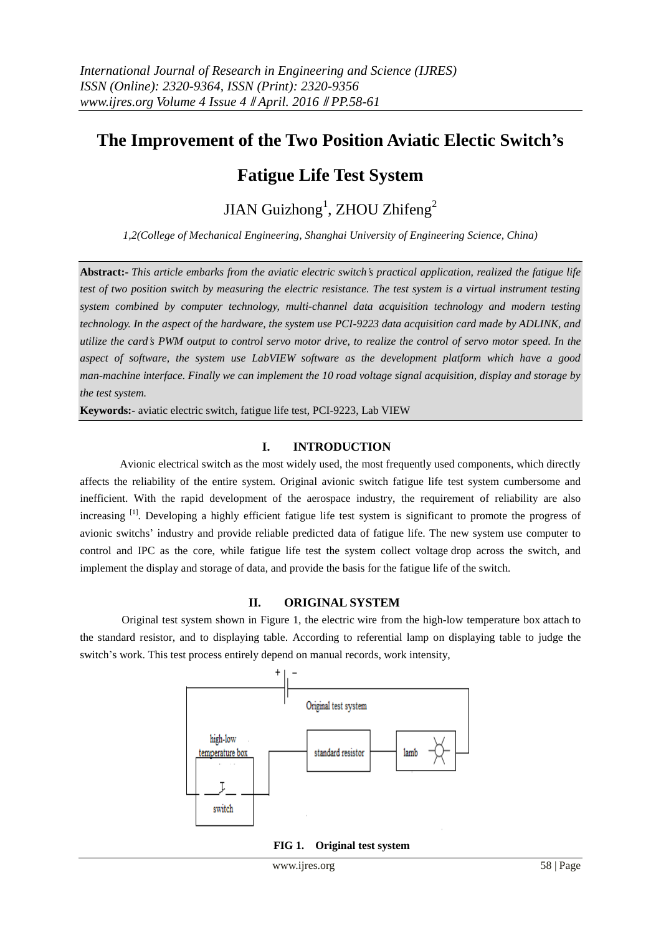## **The Improvement of the Two Position Aviatic Electic Switch's**

# **Fatigue Life Test System**

# $JIAN$  Guizhong<sup>1</sup>, ZHOU Zhifeng<sup>2</sup>

*1,2(College of Mechanical Engineering, Shanghai University of Engineering Science, China)*

**Abstract:-** *This article embarks from the aviatic electric switch's practical application, realized the fatigue life test of two position switch by measuring the electric resistance. The test system is a virtual instrument testing system combined by computer technology, multi-channel data acquisition technology and modern testing technology. In the aspect of the hardware, the system use PCI-9223 data acquisition card made by ADLINK, and utilize the card's PWM output to control servo motor drive, to realize the control of servo motor speed. In the aspect of software, the system use LabVIEW software as the development platform which have a good man-machine interface. Finally we can implement the 10 road voltage signal acquisition, display and storage by the test system.* 

**Keywords:-** aviatic electric switch, fatigue life test, PCI-9223, Lab VIEW

### **I. INTRODUCTION**

Avionic electrical switch as the most widely used, the most frequently used components, which directly affects the reliability of the entire system. Original avionic switch fatigue life test system cumbersome and inefficient. With the rapid development of the aerospace industry, the requirement of reliability are also increasing <sup>[1]</sup>. Developing a highly efficient fatigue life test system is significant to promote the progress of avionic switchs' industry and provide reliable predicted data of fatigue life. The new system use computer to control and IPC as the core, while fatigue life test the system collect [voltage](http://dict.youdao.com/w/voltage/#keyfrom=E2Ctranslation) drop across the switch, and implement the display and storage of data, and provide the basis for the fatigue life of the switch.

## **II. ORIGINAL SYSTEM**

Original test system shown in Figure 1, the [electric](http://dict.youdao.com/w/electric/#keyfrom=E2Ctranslation) [wire](http://dict.youdao.com/w/wire/#keyfrom=E2Ctranslation) from the high-low temperature box [attach](http://dict.youdao.com/w/attach/#keyfrom=E2Ctranslation) [to](http://dict.youdao.com/w/to/#keyfrom=E2Ctranslation) the standard resistor, and to displaying table. According to referential lamp on displaying table to judge the switch's work. This test process entirely depend on manual records, work intensity,



**FIG 1. Original test system**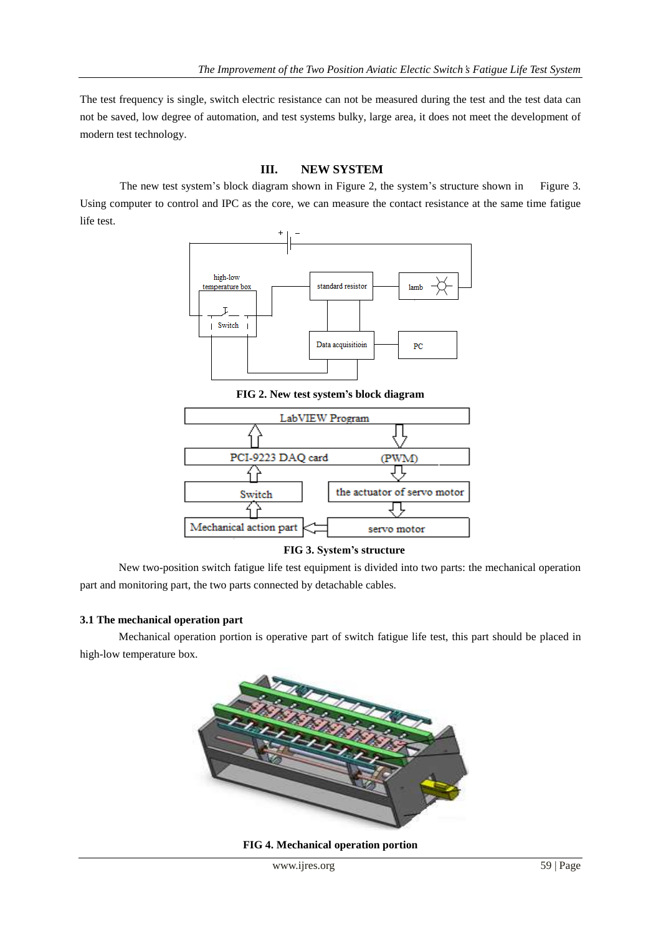The test frequency is single, switch electric resistance can not be measured during the test and the test data can not be saved, low degree of automation, and test systems bulky, large area, it does not meet the development of modern test technology.

#### **III. NEW SYSTEM**

The new test system's block diagram shown in Figure 2, the system's structure shown in Figure 3. Using computer to control and IPC as the core, we can measure the contact resistance at the same time fatigue life test.



**FIG 2. New test system's block diagram**



#### **FIG 3. System's structure**

New two-position switch fatigue life test equipment is divided into two parts: the mechanical operation part and monitoring part, the two parts connected by detachable cables.

#### **3.1 The mechanical operation part**

Mechanical operation portion is operative part of switch fatigue life test, this part should be placed in high-low temperature box.



**FIG 4. Mechanical operation portion**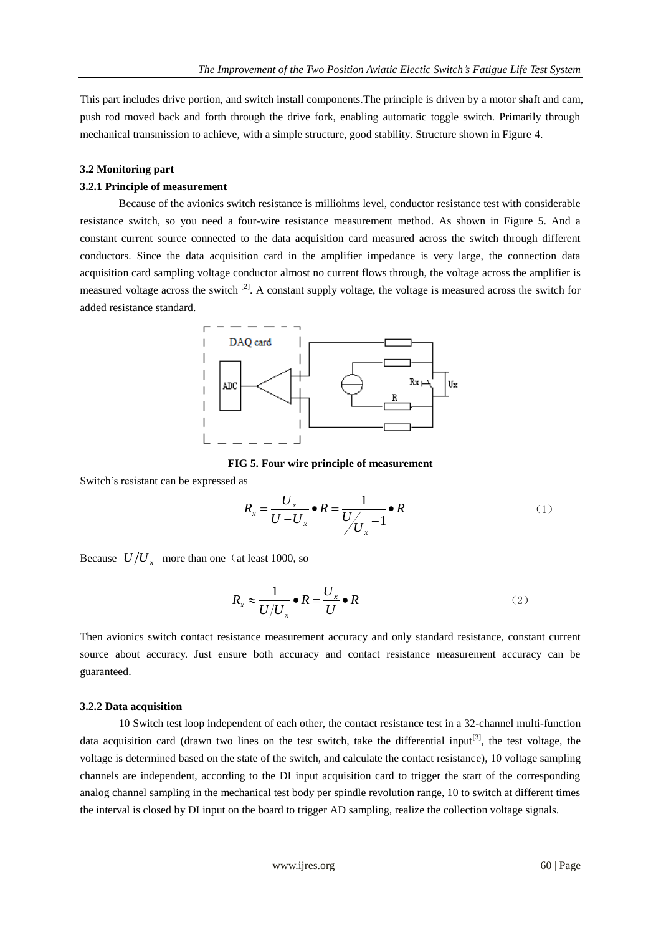This part includes drive portion, and switch install components.The principle is driven by a motor shaft and cam, push rod moved back and forth through the drive fork, enabling automatic toggle switch. Primarily through mechanical transmission to achieve, with a simple structure, good stability. Structure shown in Figure 4.

#### **3.2 Monitoring part**

#### **3.2.[1 Principle](http://dict.youdao.com/w/principle/#keyfrom=E2Ctranslation) [of](http://dict.youdao.com/w/of/#keyfrom=E2Ctranslation) [measurement](http://dict.youdao.com/w/measurement/#keyfrom=E2Ctranslation)**

 Because of the avionics switch resistance is milliohms level, conductor resistance test with considerable resistance switch, so you need a four-wire resistance measurement method. As shown in Figure 5. And a constant current source connected to the data acquisition card measured across the switch through different conductors. Since the data acquisition card in the amplifier impedance is very large, the connection data acquisition card sampling voltage conductor almost no current flows through, the voltage across the amplifier is measured voltage across the switch [2]. A constant supply voltage, the voltage is measured across the switch for added resistance standard.



**FIG 5. Four wire principle of measurement**

Switch's resistant can be expressed as

$$
R_x = \frac{U_x}{U - U_x} \bullet R = \frac{1}{U / U_x - 1} \bullet R
$$
 (1)

Because  $U/U_x$  more than one (at least 1000, so

$$
R_x \approx \frac{1}{U/U_x} \bullet R = \frac{U_x}{U} \bullet R \tag{2}
$$

Then avionics switch contact resistance measurement accuracy and only standard resistance, constant current source about accuracy. Just ensure both accuracy and contact resistance measurement accuracy can be guaranteed.

#### **3.2.2 Data acquisition**

 10 Switch test loop independent of each other, the contact resistance test in a 32-channel multi-function data acquisition card (drawn two lines on the test switch, take the differential input<sup>[3]</sup>, the test voltage, the voltage is determined based on the state of the switch, and calculate the contact resistance), 10 voltage sampling channels are independent, according to the DI input acquisition card to trigger the start of the corresponding analog channel sampling in the mechanical test body per spindle revolution range, 10 to switch at different times the interval is closed by DI input on the board to trigger AD sampling, realize the collection voltage signals.